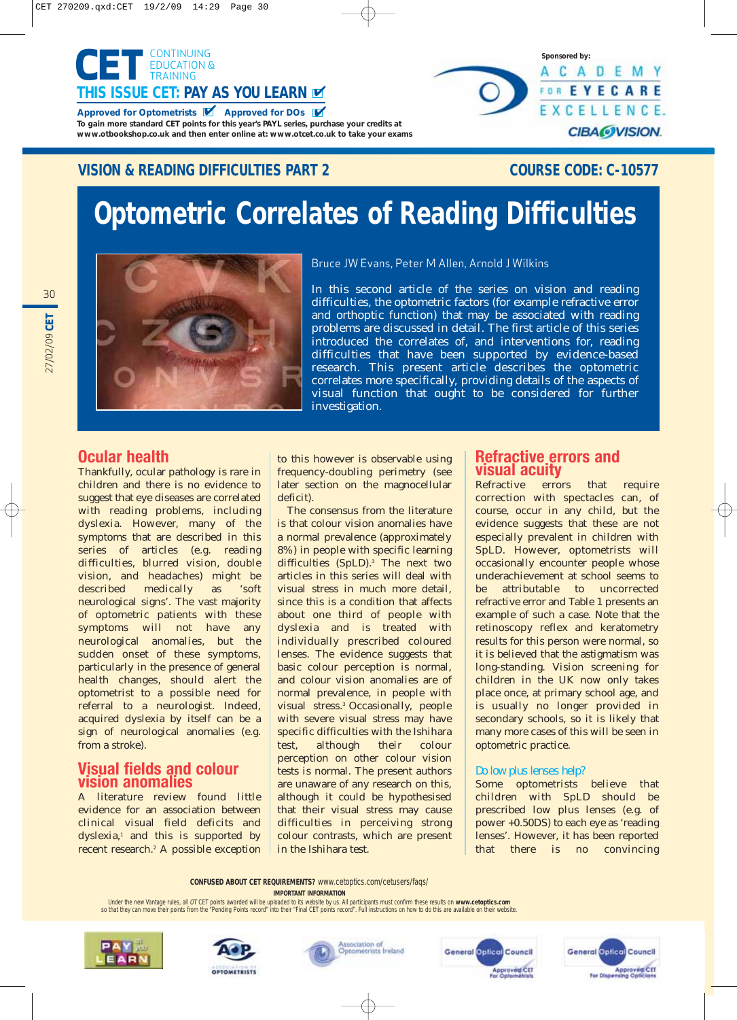

## **VISION & READING DIFFICULTIES PART 2** COURSE CODE: C-10577

**Sponsored by:**

ACADEMY FOR EYECARE EXCELLENCE.

**CIBA@VISION.** 

# **Optometric Correlates of Reading Difficulties**



Bruce JW Evans, Peter M Allen, Arnold J Wilkins

In this second article of the series on vision and reading difficulties, the optometric factors (for example refractive error and orthoptic function) that may be associated with reading problems are discussed in detail. The first article of this series introduced the correlates of, and interventions for, reading difficulties that have been supported by evidence-based research. This present article describes the optometric correlates more specifically, providing details of the aspects of visual function that ought to be considered for further investigation.

## **Ocular health**

Thankfully, ocular pathology is rare in children and there is no evidence to suggest that eye diseases are correlated with reading problems, including dyslexia. However, many of the symptoms that are described in this series of articles (e.g. reading difficulties, blurred vision, double vision, and headaches) might be described medically as 'soft neurological signs'. The vast majority of optometric patients with these symptoms will not have any neurological anomalies, but the sudden onset of these symptoms, particularly in the presence of general health changes, should alert the optometrist to a possible need for referral to a neurologist. Indeed, acquired dyslexia by itself can be a sign of neurological anomalies (e.g. from a stroke).

## **Visual fields and colour vision anomalies**

A literature review found little evidence for an association between clinical visual field deficits and dyslexia,<sup>1</sup> and this is supported by recent research.<sup>2</sup> A possible exception to this however is observable using frequency-doubling perimetry (see later section on the magnocellular deficit).

The consensus from the literature is that colour vision anomalies have a normal prevalence (approximately 8%) in people with specific learning difficulties (SpLD).<sup>3</sup> The next two articles in this series will deal with visual stress in much more detail, since this is a condition that affects about one third of people with dyslexia and is treated with individually prescribed coloured lenses. The evidence suggests that basic colour perception is normal, and colour vision anomalies are of normal prevalence, in people with visual stress.3 Occasionally, people with severe visual stress may have specific difficulties with the Ishihara test, although their colour perception on other colour vision tests is normal. The present authors are unaware of any research on this, although it could be hypothesised that their visual stress may cause difficulties in perceiving strong colour contrasts, which are present in the Ishihara test.

## **Refractive errors and visual acuity**

Refractive errors that require correction with spectacles can, of course, occur in any child, but the evidence suggests that these are not especially prevalent in children with SpLD. However, optometrists will occasionally encounter people whose underachievement at school seems to be attributable to uncorrected refractive error and Table 1 presents an example of such a case. Note that the retinoscopy reflex and keratometry results for this person were normal, so it is believed that the astigmatism was long-standing. Vision screening for children in the UK now only takes place once, at primary school age, and is usually no longer provided in secondary schools, so it is likely that many more cases of this will be seen in optometric practice.

## Do low plus lenses help?

Some optometrists believe that children with SpLD should be prescribed low plus lenses (e.g. of power +0.50DS) to each eye as 'reading lenses'. However, it has been reported that there is no convincing

**CONFUSED ABOUT CET REQUIREMENTS?** www.cetoptics.com/cetusers/faqs/

**IMPORTANT INFORMATION**

Under the new Vantage rules, all OT CET points awarded will be uploaded to its website by us. All participants must confirm these results on **www.cetoptics.com** so that they can move their points from the "Pending Points record" into their "Final CET points record". Full instructions on how to do this are available on









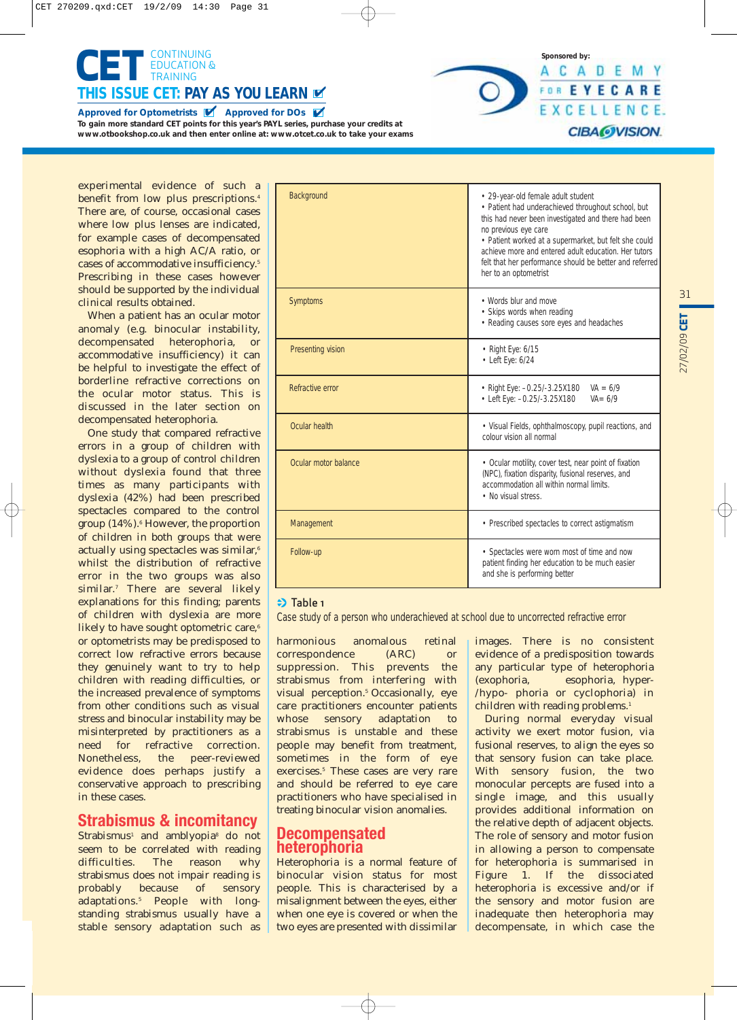

experimental evidence of such a benefit from low plus prescriptions.<sup>4</sup> There are, of course, occasional cases where low plus lenses are indicated, for example cases of decompensated esophoria with a high AC/A ratio, or cases of accommodative insufficiency.5 Prescribing in these cases however should be supported by the individual clinical results obtained.

When a patient has an ocular motor anomaly (e.g. binocular instability, decompensated heterophoria, or accommodative insufficiency) it can be helpful to investigate the effect of borderline refractive corrections on the ocular motor status. This is discussed in the later section on decompensated heterophoria.

One study that compared refractive errors in a group of children with dyslexia to a group of control children without dyslexia found that three times as many participants with dyslexia (42%) had been prescribed spectacles compared to the control group  $(14\%)$ .<sup>6</sup> However, the proportion of children in both groups that were actually using spectacles was similar,<sup>6</sup> whilst the distribution of refractive error in the two groups was also similar.<sup>7</sup> There are several likely explanations for this finding; parents of children with dyslexia are more likely to have sought optometric care,<sup>6</sup> or optometrists may be predisposed to correct low refractive errors because they genuinely want to try to help children with reading difficulties, or the increased prevalence of symptoms from other conditions such as visual stress and binocular instability may be misinterpreted by practitioners as a need for refractive correction. Nonetheless, the peer-reviewed evidence does perhaps justify a conservative approach to prescribing in these cases.

## **Strabismus & incomitancy**

Strabismus<sup>1</sup> and amblyopia<sup>8</sup> do not seem to be correlated with reading difficulties. The reason why strabismus does not impair reading is probably because of sensory adaptations.5 People with longstanding strabismus usually have a stable sensory adaptation such as

| Background           | • 29-year-old female adult student<br>· Patient had underachieved throughout school, but<br>this had never been investigated and there had been<br>no previous eye care<br>• Patient worked at a supermarket, but felt she could<br>achieve more and entered adult education. Her tutors<br>felt that her performance should be better and referred<br>her to an optometrist |  |
|----------------------|------------------------------------------------------------------------------------------------------------------------------------------------------------------------------------------------------------------------------------------------------------------------------------------------------------------------------------------------------------------------------|--|
| Symptoms             | • Words blur and move<br>• Skips words when reading<br>• Reading causes sore eyes and headaches                                                                                                                                                                                                                                                                              |  |
| Presenting vision    | • Right Eye: 6/15<br>$\bullet$ Left Eye: 6/24                                                                                                                                                                                                                                                                                                                                |  |
| Refractive error     | • Right Eye: -0.25/-3.25X180<br>$VA = 6/9$<br>• Left Eye: -0.25/-3.25X180<br>$VA = 6/9$                                                                                                                                                                                                                                                                                      |  |
| Ocular health        | • Visual Fields, ophthalmoscopy, pupil reactions, and<br>colour vision all normal                                                                                                                                                                                                                                                                                            |  |
| Ocular motor balance | • Ocular motility, cover test, near point of fixation<br>(NPC), fixation disparity, fusional reserves, and<br>accommodation all within normal limits<br>• No visual stress.                                                                                                                                                                                                  |  |
| Management           | • Prescribed spectacles to correct astigmatism                                                                                                                                                                                                                                                                                                                               |  |
| Follow-up            | • Spectacles were worn most of time and now<br>patient finding her education to be much easier<br>and she is performing better                                                                                                                                                                                                                                               |  |

## $\Rightarrow$  Table 1

Case study of a person who underachieved at school due to uncorrected refractive error

harmonious anomalous retinal correspondence (ARC) or suppression. This prevents the strabismus from interfering with visual perception.<sup>5</sup> Occasionally, eye care practitioners encounter patients whose sensory adaptation to strabismus is unstable and these people may benefit from treatment, sometimes in the form of eye exercises.<sup>5</sup> These cases are very rare and should be referred to eye care practitioners who have specialised in treating binocular vision anomalies.

## **Decompensated heterophoria**

Heterophoria is a normal feature of binocular vision status for most people. This is characterised by a misalignment between the eyes, either when one eye is covered or when the two eyes are presented with dissimilar images. There is no consistent evidence of a predisposition towards any particular type of heterophoria (exophoria, esophoria, hyper- /hypo- phoria or cyclophoria) in children with reading problems.<sup>1</sup>

**Sponsored by:**

ACADEMY FOR EYECARE EXCELLENCE.

**CIBA@VISION.** 

During normal everyday visual activity we exert motor fusion, via fusional reserves, to align the eyes so that sensory fusion can take place. With sensory fusion, the two monocular percepts are fused into a single image, and this usually provides additional information on the relative depth of adjacent objects. The role of sensory and motor fusion in allowing a person to compensate for heterophoria is summarised in Figure 1. If the dissociated heterophoria is excessive and/or if the sensory and motor fusion are inadequate then heterophoria may decompensate, in which case the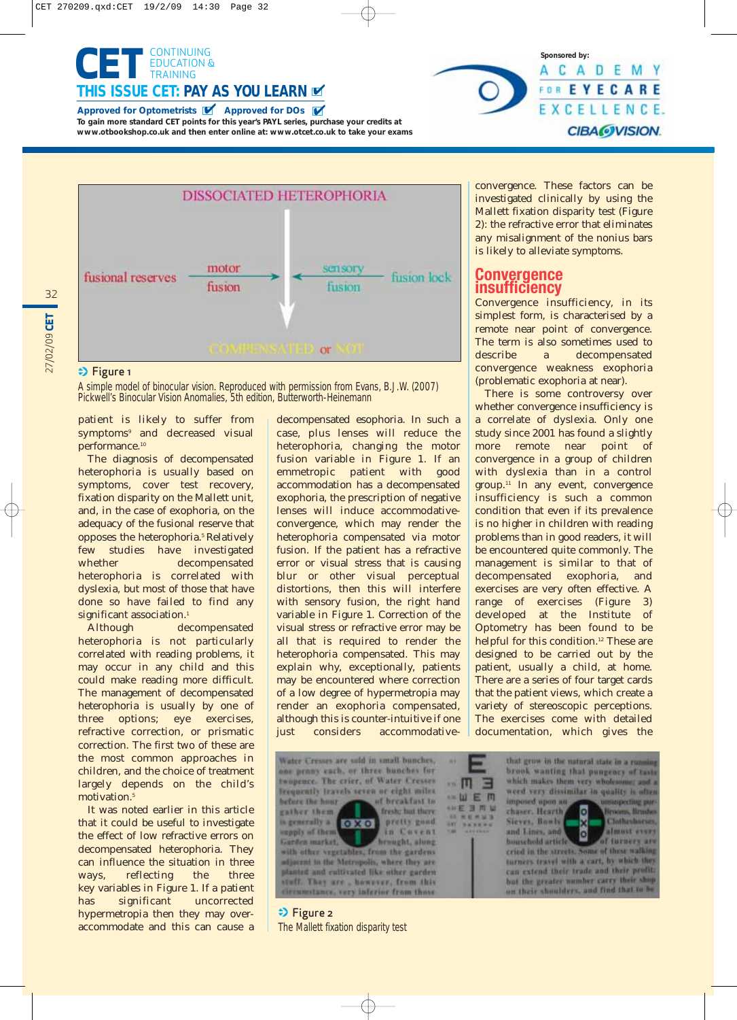





## **→** Figure 1

27/02/09 **CET**

27/02/09 CET

32

A simple model of binocular vision. Reproduced with permission from Evans, B.J.W. (2007) Pickwell's Binocular Vision Anomalies, 5th edition, Butterworth-Heinemann

patient is likely to suffer from symptoms<sup>9</sup> and decreased visual performance.<sup>10</sup>

The diagnosis of decompensated heterophoria is usually based on symptoms, cover test recovery, fixation disparity on the Mallett unit, and, in the case of exophoria, on the adequacy of the fusional reserve that opposes the heterophoria.<sup>5</sup> Relatively few studies have investigated whether decompensated heterophoria is correlated with dyslexia, but most of those that have done so have failed to find any significant association.<sup>1</sup>

Although decompensated heterophoria is not particularly correlated with reading problems, it may occur in any child and this could make reading more difficult. The management of decompensated heterophoria is usually by one of three options; eye exercises, refractive correction, or prismatic correction. The first two of these are the most common approaches in children, and the choice of treatment largely depends on the child's motivation.<sup>5</sup>

It was noted earlier in this article that it could be useful to investigate the effect of low refractive errors on decompensated heterophoria. They can influence the situation in three ways, reflecting the three key variables in Figure 1. If a patient has significant uncorrected hypermetropia then they may overaccommodate and this can cause a

decompensated esophoria. In such a case, plus lenses will reduce the heterophoria, changing the motor fusion variable in Figure 1. If an emmetropic patient with good accommodation has a decompensated exophoria, the prescription of negative lenses will induce accommodativeconvergence, which may render the heterophoria compensated via motor fusion. If the patient has a refractive error or visual stress that is causing blur or other visual perceptual distortions, then this will interfere with sensory fusion, the right hand variable in Figure 1. Correction of the visual stress or refractive error may be all that is required to render the heterophoria compensated. This may explain why, exceptionally, patients may be encountered where correction of a low degree of hypermetropia may render an exophoria compensated, although this is counter-intuitive if one just considers accommodative-

Water Cresses are sold in small bunches, one penny each, or three bunches for twopence. The crier, of Water Cresses frequently travels seven or eight miles. before the hour of breakfast to gather them. fresh; but there is generally a **OXO** pretty good in Covent Garden market. I brought, along Garden market, adjacent in the Metropolis, where they are planted and cultivated like other garden stuff. They are , however, from this decumstance, very inferior from those

convergence. These factors can be investigated clinically by using the Mallett fixation disparity test (Figure 2): the refractive error that eliminates any misalignment of the nonius bars

is likely to alleviate symptoms.

## **Convergence insufficiency**

Convergence insufficiency, in its simplest form, is characterised by a remote near point of convergence. The term is also sometimes used to describe a decompensated convergence weakness exophoria (problematic exophoria at near).

There is some controversy over whether convergence insufficiency is a correlate of dyslexia. Only one study since 2001 has found a slightly more remote near point of convergence in a group of children with dyslexia than in a control group.11 In any event, convergence insufficiency is such a common condition that even if its prevalence is no higher in children with reading problems than in good readers, it will be encountered quite commonly. The management is similar to that of decompensated exophoria, and exercises are very often effective. A range of exercises (Figure 3) developed at the Institute of Optometry has been found to be helpful for this condition.<sup>12</sup> These are designed to be carried out by the patient, usually a child, at home. There are a series of four target cards that the patient views, which create a variety of stereoscopic perceptions. The exercises come with detailed documentation, which gives the

> that grow in the natural state in a runs brook wanting that pungency of tasts which makes them very wholesome; and a weed very dissimilar in quality is often imposed upon an suspecting pu DXO **IL Hrush** chaser. Hearth Sieves, Bowls Clothesboroe and Lines, and almost every of turners are household article cried in the streets, Some of these walking turners travel with a cart, by which they can extend their trade and their profit. but the greater number carry their she on their shoulders, and find that to b

 $\mathbb{E}$   $\Pi$   $\rightarrow$ 

· 山 E 川

**SHE 3 MW** 

所在 外加 活

**SE** 

 $\Rightarrow$  Figure 2 The Mallett fixation disparity test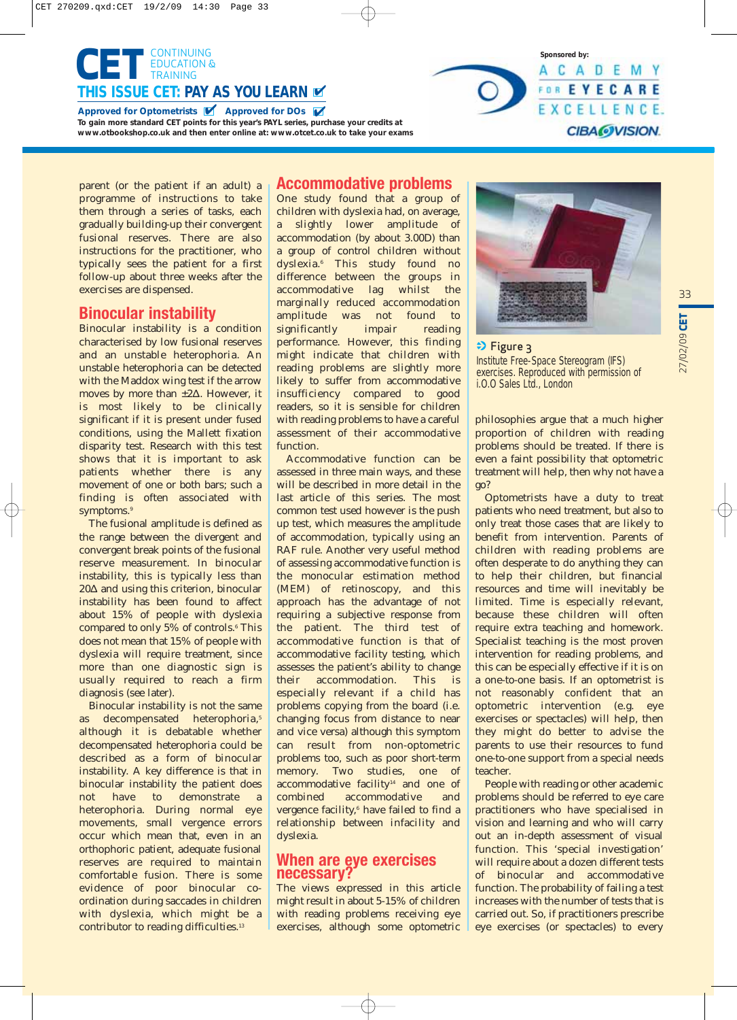



## **Binocular instability**

Binocular instability is a condition characterised by low fusional reserves and an unstable heterophoria. An unstable heterophoria can be detected with the Maddox wing test if the arrow moves by more than ±2Δ. However, it is most likely to be clinically significant if it is present under fused conditions, using the Mallett fixation disparity test. Research with this test shows that it is important to ask patients whether there is any movement of one or both bars; such a finding is often associated with symptoms.<sup>9</sup>

The fusional amplitude is defined as the range between the divergent and convergent break points of the fusional reserve measurement. In binocular instability, this is typically less than 20Δ and using this criterion, binocular instability has been found to affect about 15% of people with dyslexia compared to only 5% of controls.<sup>6</sup> This does not mean that 15% of people with dyslexia will require treatment, since more than one diagnostic sign is usually required to reach a firm diagnosis (see later).

Binocular instability is not the same as decompensated heterophoria,<sup>5</sup> although it is debatable whether decompensated heterophoria could be described as a form of binocular instability. A key difference is that in binocular instability the patient does<br>not have to demonstrate a not have to demonstrate a heterophoria. During normal eye movements, small vergence errors occur which mean that, even in an orthophoric patient, adequate fusional reserves are required to maintain comfortable fusion. There is some evidence of poor binocular coordination during saccades in children with dyslexia, which might be a contributor to reading difficulties.<sup>13</sup>

## **Accommodative problems**

One study found that a group of children with dyslexia had, on average, a slightly lower amplitude of accommodation (by about 3.00D) than a group of control children without dyslexia.6 This study found no difference between the groups in accommodative lag whilst the marginally reduced accommodation amplitude was not found to significantly impair reading performance. However, this finding might indicate that children with reading problems are slightly more likely to suffer from accommodative insufficiency compared to good readers, so it is sensible for children with reading problems to have a careful assessment of their accommodative function.

Accommodative function can be assessed in three main ways, and these will be described in more detail in the last article of this series. The most common test used however is the push up test, which measures the amplitude of accommodation, typically using an RAF rule. Another very useful method of assessing accommodative function is the monocular estimation method (MEM) of retinoscopy, and this approach has the advantage of not requiring a subjective response from the patient. The third test of accommodative function is that of accommodative facility testing, which assesses the patient's ability to change their accommodation. This especially relevant if a child has problems copying from the board (i.e. changing focus from distance to near and vice versa) although this symptom can result from non-optometric problems too, such as poor short-term memory. Two studies, one of accommodative facility<sup>14</sup> and one of combined accommodative and vergence facility,<sup>6</sup> have failed to find a relationship between infacility and dyslexia.

## **When are eye exercises necessary?**

The views expressed in this article might result in about 5-15% of children with reading problems receiving eye exercises, although some optometric



**Sponsored by:**

A C A D E M Y FOR EYECARE EXCELLENCE.

**CIBA@VISION.** 

 $\Rightarrow$  Figure 3 Institute Free-Space Stereogram (IFS) exercises. Reproduced with permission of i.O.O Sales Ltd., London

philosophies argue that a much higher proportion of children with reading problems should be treated. If there is even a faint possibility that optometric treatment will help, then why not have a go?

Optometrists have a duty to treat patients who need treatment, but also to only treat those cases that are likely to benefit from intervention. Parents of children with reading problems are often desperate to do anything they can to help their children, but financial resources and time will inevitably be limited. Time is especially relevant, because these children will often require extra teaching and homework. Specialist teaching is the most proven intervention for reading problems, and this can be especially effective if it is on a one-to-one basis. If an optometrist is not reasonably confident that an optometric intervention (e.g. eye exercises or spectacles) will help, then they might do better to advise the parents to use their resources to fund one-to-one support from a special needs teacher.

People with reading or other academic problems should be referred to eye care practitioners who have specialised in vision and learning and who will carry out an in-depth assessment of visual function. This 'special investigation' will require about a dozen different tests of binocular and accommodative function. The probability of failing a test increases with the number of tests that is carried out. So, if practitioners prescribe eye exercises (or spectacles) to every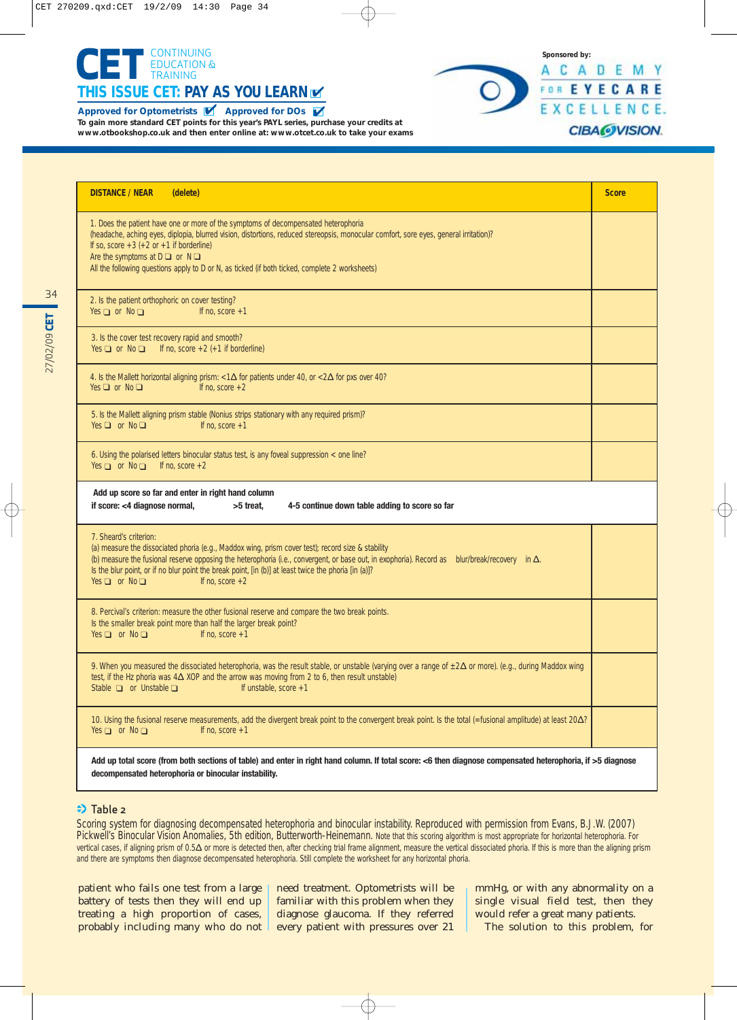



| <b>DISTANCE / NEAR</b><br>(delete)                                                                                                                                                                                                                                                                                                                                                                                                           | <b>Score</b> |
|----------------------------------------------------------------------------------------------------------------------------------------------------------------------------------------------------------------------------------------------------------------------------------------------------------------------------------------------------------------------------------------------------------------------------------------------|--------------|
| 1. Does the patient have one or more of the symptoms of decompensated heterophoria<br>(headache, aching eyes, diplopia, blurred vision, distortions, reduced stereopsis, monocular comfort, sore eyes, general irritation)?<br>If so, score $+3$ ( $+2$ or $+1$ if borderline)<br>Are the symptoms at $D \square$ or $N \square$<br>All the following questions apply to D or N, as ticked (if both ticked, complete 2 worksheets)           |              |
| 2. Is the patient orthophoric on cover testing?<br>Yes $\Box$ or No $\Box$<br>If no, score $+1$                                                                                                                                                                                                                                                                                                                                              |              |
| 3. Is the cover test recovery rapid and smooth?<br>Yes $\Box$ or No $\Box$ If no, score +2 (+1 if borderline)                                                                                                                                                                                                                                                                                                                                |              |
| 4. Is the Mallett horizontal aligning prism: $<1\Delta$ for patients under 40, or $<2\Delta$ for pxs over 40?<br>Yes $\Box$ or No $\Box$<br>If no. score $+2$                                                                                                                                                                                                                                                                                |              |
| 5. Is the Mallett aligning prism stable (Nonius strips stationary with any required prism)?<br>Yes $\Box$ or No $\Box$<br>If no, score $+1$                                                                                                                                                                                                                                                                                                  |              |
| 6. Using the polarised letters binocular status test, is any foveal suppression < one line?                                                                                                                                                                                                                                                                                                                                                  |              |
| Yes $\Box$ or No $\Box$ If no, score +2<br>Add up score so far and enter in right hand column<br>if score: <4 diagnose normal,<br>>5 treat,<br>4-5 continue down table adding to score so far                                                                                                                                                                                                                                                |              |
| 7. Sheard's criterion:<br>(a) measure the dissociated phoria (e.g., Maddox wing, prism cover test); record size & stability<br>(b) measure the fusional reserve opposing the heterophoria (i.e., convergent, or base out, in exophoria). Record as blur/break/recovery in $\Delta$ .<br>Is the blur point, or if no blur point the break point, [in (b)] at least twice the phoria [in (a)]?<br>Yes $\Box$ or No $\Box$<br>If no. score $+2$ |              |
| 8. Percival's criterion: measure the other fusional reserve and compare the two break points.<br>Is the smaller break point more than half the larger break point?<br>Yes $\Box$ or No $\Box$<br>If no, score $+1$                                                                                                                                                                                                                           |              |
| 9. When you measured the dissociated heterophoria, was the result stable, or unstable (varying over a range of $\pm 2\Delta$ or more). (e.g., during Maddox wing<br>test, if the Hz phoria was $4\Delta$ XOP and the arrow was moving from 2 to 6, then result unstable)<br>Stable $\Box$ or Unstable $\Box$<br>If unstable, score $+1$                                                                                                      |              |

## $\Rightarrow$  Table 2

Scoring system for diagnosing decompensated heterophoria and binocular instability. Reproduced with permission from Evans, B.J.W. (2007) Pickwell's Binocular Vision Anomalies, 5th edition, Butterworth-Heinemann. Note that this scoring algorithm is most appropriate for horizontal heterophoria. For vertical cases, if aligning prism of 0.5Δ or more is detected then, after checking trial frame alignment, measure the vertical dissociated phoria. If this is more than the aligning prism and there are symptoms then diagnose decompensated heterophoria. Still complete the worksheet for any horizontal phoria.

patient who fails one test from a large battery of tests then they will end up treating a high proportion of cases, probably including many who do not need treatment. Optometrists will be familiar with this problem when they diagnose glaucoma. If they referred every patient with pressures over 21

mmHg, or with any abnormality on a single visual field test, then they would refer a great many patients.

The solution to this problem, for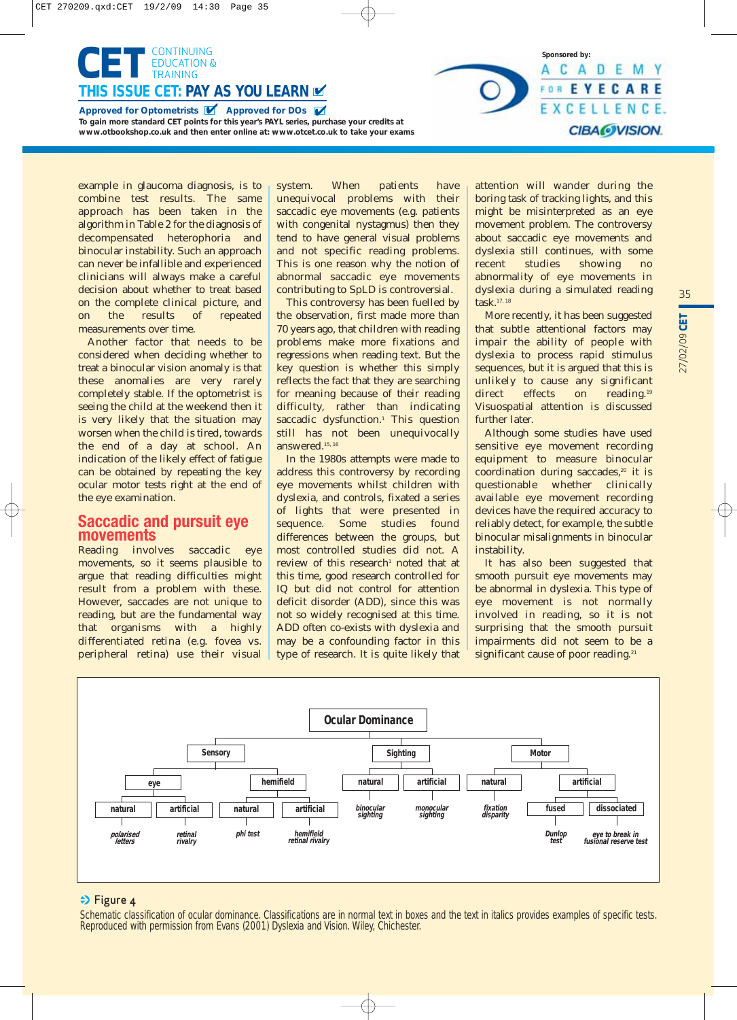

example in glaucoma diagnosis, is to combine test results. The same approach has been taken in the algorithm in Table 2 for the diagnosis of decompensated heterophoria and binocular instability. Such an approach can never be infallible and experienced clinicians will always make a careful decision about whether to treat based on the complete clinical picture, and on the results of repeated measurements over time.

Another factor that needs to be considered when deciding whether to treat a binocular vision anomaly is that these anomalies are very rarely completely stable. If the optometrist is seeing the child at the weekend then it is very likely that the situation may worsen when the child is tired, towards the end of a day at school. An indication of the likely effect of fatigue can be obtained by repeating the key ocular motor tests right at the end of the eye examination.

## **Saccadic and pursuit eye movements**

Reading involves saccadic eye movements, so it seems plausible to argue that reading difficulties might result from a problem with these. However, saccades are not unique to reading, but are the fundamental way that organisms with a highly differentiated retina (e.g. fovea vs. peripheral retina) use their visual system. When patients have unequivocal problems with their saccadic eye movements (e.g. patients with congenital nystagmus) then they tend to have general visual problems and not specific reading problems. This is one reason why the notion of abnormal saccadic eye movements contributing to SpLD is controversial.

This controversy has been fuelled by the observation, first made more than 70 years ago, that children with reading problems make more fixations and regressions when reading text. But the key question is whether this simply reflects the fact that they are searching for meaning because of their reading difficulty, rather than indicating saccadic dysfunction.<sup>1</sup> This question still has not been unequivocally answered.15, 16

In the 1980s attempts were made to address this controversy by recording eye movements whilst children with dyslexia, and controls, fixated a series of lights that were presented in sequence. Some studies found differences between the groups, but most controlled studies did not. A review of this research<sup>1</sup> noted that at this time, good research controlled for IQ but did not control for attention deficit disorder (ADD), since this was not so widely recognised at this time. ADD often co-exists with dyslexia and may be a confounding factor in this type of research. It is quite likely that attention will wander during the boring task of tracking lights, and this might be misinterpreted as an eye movement problem. The controversy about saccadic eye movements and dyslexia still continues, with some recent studies showing no abnormality of eye movements in dyslexia during a simulated reading task.17, 18

**Sponsored by:**

ACADEMY FOR EYECARE EXCELLENCE.

**CIBAOVISION.** 

More recently, it has been suggested that subtle attentional factors may impair the ability of people with dyslexia to process rapid stimulus sequences, but it is argued that this is unlikely to cause any significant direct effects on reading.<sup>19</sup> Visuospatial attention is discussed further later.

Although some studies have used sensitive eye movement recording equipment to measure binocular coordination during saccades,<sup>20</sup> it is questionable whether clinically available eye movement recording devices have the required accuracy to reliably detect, for example, the subtle binocular misalignments in binocular instability.

It has also been suggested that smooth pursuit eye movements may be abnormal in dyslexia. This type of eye movement is not normally involved in reading, so it is not surprising that the smooth pursuit impairments did not seem to be a significant cause of poor reading.<sup>21</sup>



## $\Rightarrow$  Figure 4

Schematic classification of ocular dominance. Classifications are in normal text in boxes and the text in italics provides examples of specific tests. Reproduced with permission from Evans (2001) Dyslexia and Vision. Wiley, Chichester.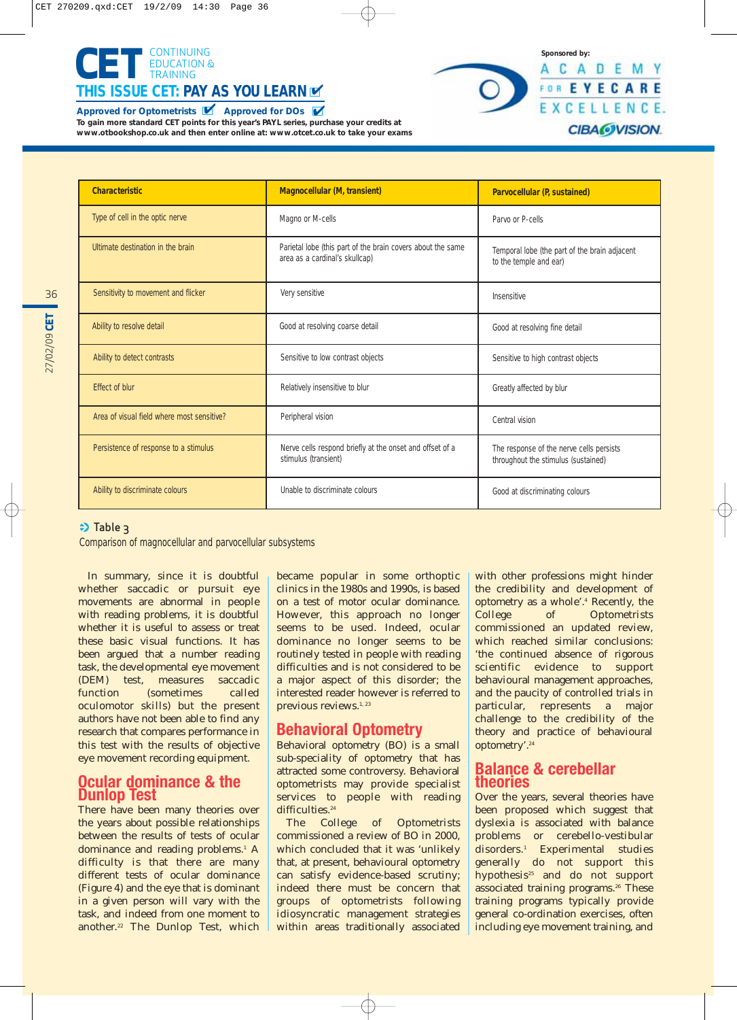



| <b>Characteristic</b>                      | <b>Magnocellular (M, transient)</b>                                                           | Parvocellular (P, sustained)                                                    |
|--------------------------------------------|-----------------------------------------------------------------------------------------------|---------------------------------------------------------------------------------|
| Type of cell in the optic nerve            | Magno or M-cells                                                                              | Parvo or P-cells                                                                |
| Ultimate destination in the brain          | Parietal lobe (this part of the brain covers about the same<br>area as a cardinal's skullcap) | Temporal lobe (the part of the brain adjacent<br>to the temple and ear)         |
| Sensitivity to movement and flicker        | Very sensitive                                                                                | Insensitive                                                                     |
| Ability to resolve detail                  | Good at resolving coarse detail                                                               | Good at resolving fine detail                                                   |
| Ability to detect contrasts                | Sensitive to low contrast objects                                                             | Sensitive to high contrast objects                                              |
| <b>Fffect of blur</b>                      | Relatively insensitive to blur                                                                | Greatly affected by blur                                                        |
| Area of visual field where most sensitive? | Peripheral vision                                                                             | Central vision                                                                  |
| Persistence of response to a stimulus      | Nerve cells respond briefly at the onset and offset of a<br>stimulus (transient)              | The response of the nerve cells persists<br>throughout the stimulus (sustained) |
| Ability to discriminate colours            | Unable to discriminate colours                                                                | Good at discriminating colours                                                  |

## $\Rightarrow$  Table 3

Comparison of magnocellular and parvocellular subsystems

In summary, since it is doubtful whether saccadic or pursuit eye movements are abnormal in people with reading problems, it is doubtful whether it is useful to assess or treat these basic visual functions. It has been argued that a number reading task, the developmental eye movement<br>(DEM) test, measures saccadic test, measures saccadic function (sometimes called oculomotor skills) but the present authors have not been able to find any research that compares performance in this test with the results of objective eye movement recording equipment.

## **Ocular dominance & the Dunlop Test**

There have been many theories over the years about possible relationships between the results of tests of ocular dominance and reading problems.<sup>1</sup> A difficulty is that there are many different tests of ocular dominance (Figure 4) and the eye that is dominant in a given person will vary with the task, and indeed from one moment to another.22 The Dunlop Test, which

became popular in some orthoptic clinics in the 1980s and 1990s, is based on a test of motor ocular dominance. However, this approach no longer seems to be used. Indeed, ocular dominance no longer seems to be routinely tested in people with reading difficulties and is not considered to be a major aspect of this disorder; the interested reader however is referred to previous reviews.<sup>1, 23</sup>

## **Behavioral Optometry**

Behavioral optometry (BO) is a small sub-speciality of optometry that has attracted some controversy. Behavioral optometrists may provide specialist services to people with reading difficulties.<sup>24</sup>

The College of Optometrists commissioned a review of BO in 2000, which concluded that it was 'unlikely that, at present, behavioural optometry can satisfy evidence-based scrutiny; indeed there must be concern that groups of optometrists following idiosyncratic management strategies within areas traditionally associated

with other professions might hinder the credibility and development of optometry as a whole'.4 Recently, the College of Optometrists commissioned an updated review, which reached similar conclusions: 'the continued absence of rigorous scientific evidence to support behavioural management approaches, and the paucity of controlled trials in particular, represents a major challenge to the credibility of the theory and practice of behavioural optometry'.24

## **Balance & cerebellar theories**

Over the years, several theories have been proposed which suggest that dyslexia is associated with balance problems or cerebello-vestibular disorders.1 Experimental studies generally do not support this hypothesis<sup>25</sup> and do not support associated training programs.<sup>26</sup> These training programs typically provide general co-ordination exercises, often including eye movement training, and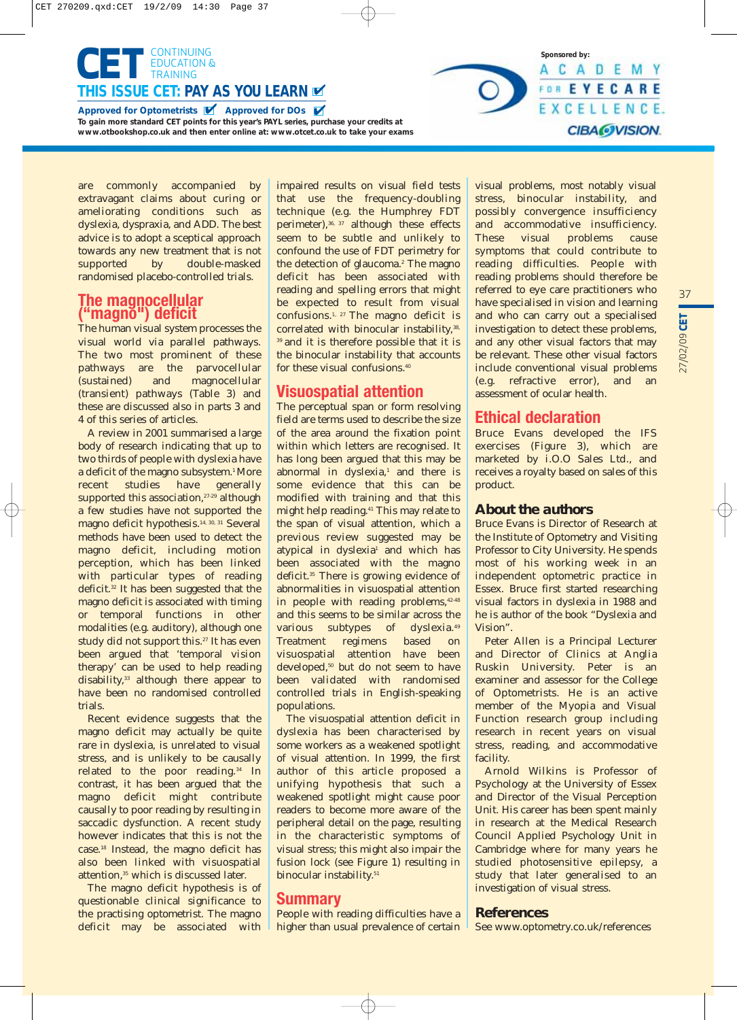

are commonly accompanied by extravagant claims about curing or ameliorating conditions such as dyslexia, dyspraxia, and ADD. The best advice is to adopt a sceptical approach towards any new treatment that is not supported by double-masked randomised placebo-controlled trials.

## **The magnocellular ("magno") deficit**

The human visual system processes the visual world via parallel pathways. The two most prominent of these pathways are the parvocellular (sustained) and magnocellular (transient) pathways (Table 3) and these are discussed also in parts 3 and 4 of this series of articles.

A review in 2001 summarised a large body of research indicating that up to two thirds of people with dyslexia have a deficit of the magno subsystem.<sup>1</sup> More recent studies have generally supported this association,<sup>27-29</sup> although a few studies have not supported the magno deficit hypothesis.14, 30, 31 Several methods have been used to detect the magno deficit, including motion perception, which has been linked with particular types of reading deficit.32 It has been suggested that the magno deficit is associated with timing or temporal functions in other modalities (e.g. auditory), although one study did not support this.<sup>27</sup> It has even been argued that 'temporal vision therapy' can be used to help reading disability,<sup>33</sup> although there appear to have been no randomised controlled trials.

Recent evidence suggests that the magno deficit may actually be quite rare in dyslexia, is unrelated to visual stress, and is unlikely to be causally related to the poor reading.34 In contrast, it has been argued that the magno deficit might contribute causally to poor reading by resulting in saccadic dysfunction. A recent study however indicates that this is not the case.18 Instead, the magno deficit has also been linked with visuospatial attention,<sup>35</sup> which is discussed later.

The magno deficit hypothesis is of questionable clinical significance to the practising optometrist. The magno deficit may be associated with impaired results on visual field tests that use the frequency-doubling technique (e.g. the Humphrey FDT perimeter), $36, 37$  although these effects seem to be subtle and unlikely to confound the use of FDT perimetry for the detection of glaucoma.<sup>2</sup> The magno deficit has been associated with reading and spelling errors that might be expected to result from visual confusions.1, 27 The magno deficit is correlated with binocular instability, 38, <sup>39</sup> and it is therefore possible that it is the binocular instability that accounts for these visual confusions.40

## **Visuospatial attention**

The perceptual span or form resolving field are terms used to describe the size of the area around the fixation point within which letters are recognised. It has long been argued that this may be abnormal in dyslexia,<sup>1</sup> and there is some evidence that this can be modified with training and that this might help reading.41 This may relate to the span of visual attention, which a previous review suggested may be atypical in dyslexia<sup>1</sup> and which has been associated with the magno deficit.<sup>35</sup> There is growing evidence of abnormalities in visuospatial attention in people with reading problems.<sup>42-48</sup> and this seems to be similar across the various subtypes of dyslexia.49 Treatment regimens based on visuospatial attention have been developed,<sup>50</sup> but do not seem to have been validated with randomised controlled trials in English-speaking populations.

The visuospatial attention deficit in dyslexia has been characterised by some workers as a weakened spotlight of visual attention. In 1999, the first author of this article proposed a unifying hypothesis that such a weakened spotlight might cause poor readers to become more aware of the peripheral detail on the page, resulting in the characteristic symptoms of visual stress; this might also impair the fusion lock (see Figure 1) resulting in binocular instability.<sup>51</sup>

## **Summary**

People with reading difficulties have a higher than usual prevalence of certain visual problems, most notably visual stress, binocular instability, and possibly convergence insufficiency and accommodative insufficiency. These visual problems cause symptoms that could contribute to reading difficulties. People with reading problems should therefore be referred to eye care practitioners who have specialised in vision and learning and who can carry out a specialised investigation to detect these problems, and any other visual factors that may be relevant. These other visual factors include conventional visual problems (e.g. refractive error), and an assessment of ocular health.

**Sponsored by:**

A C A D E M Y FOR EYECARE EXCELLENCE.

**CIBA@VISION.** 

# **Ethical declaration**

Bruce Evans developed the IFS exercises (Figure 3), which are marketed by i.O.O Sales Ltd., and receives a royalty based on sales of this product.

## *About the authors*

Bruce Evans is Director of Research at the Institute of Optometry and Visiting Professor to City University. He spends most of his working week in an independent optometric practice in Essex. Bruce first started researching visual factors in dyslexia in 1988 and he is author of the book "Dyslexia and Vision".

Peter Allen is a Principal Lecturer and Director of Clinics at Anglia Ruskin University. Peter is an examiner and assessor for the College of Optometrists. He is an active member of the Myopia and Visual Function research group including research in recent years on visual stress, reading, and accommodative facility.

Arnold Wilkins is Professor of Psychology at the University of Essex and Director of the Visual Perception Unit. His career has been spent mainly in research at the Medical Research Council Applied Psychology Unit in Cambridge where for many years he studied photosensitive epilepsy, a study that later generalised to an investigation of visual stress.

## *References*

See www.optometry.co.uk/references